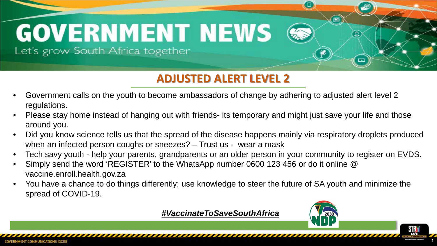# **Rapid Response Related media coverage: GOVERNMENT NEWS**

Let's grow South Africa together

#### **ADJUSTED ALERT LEVEL 2**

- Government calls on the youth to become ambassadors of change by adhering to adjusted alert level 2 regulations.
- Please stay home instead of hanging out with friends- its temporary and might just save your life and those around you.
- Did you know science tells us that the spread of the disease happens mainly via respiratory droplets produced when an infected person coughs or sneezes? – Trust us - wear a mask
- Tech savy youth help your parents, grandparents or an older person in your community to register on EVDS.
- Simply send the word 'REGISTER' to the WhatsApp number 0600 123 456 or do it online @ vaccine.enroll.health.gov.za
- You have a chance to do things differently; use knowledge to steer the future of SA youth and minimize the spread of COVID-19.

*#VaccinateToSaveSouthAfrica*



⊡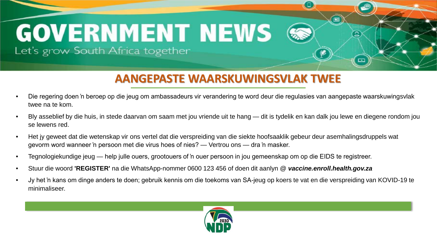#### **AANGEPASTE WAARSKUWINGSVLAK TWEE**

- Die regering doen 'n beroep op die jeug om ambassadeurs vir verandering te word deur die regulasies van aangepaste waarskuwingsvlak twee na te kom.
- Bly asseblief by die huis, in stede daarvan om saam met jou vriende uit te hang dit is tydelik en kan dalk jou lewe en diegene rondom jou se lewens red.
- Het jy geweet dat die wetenskap vir ons vertel dat die verspreiding van die siekte hoofsaaklik gebeur deur asemhalingsdruppels wat gevorm word wanneer 'n persoon met die virus hoes of nies? — Vertrou ons — dra 'n masker.
- Tegnologiekundige jeug help julle ouers, grootouers of 'n ouer persoon in jou gemeenskap om op die EIDS te registreer.
- Stuur die woord **'REGISTER'** na die WhatsApp-nommer 0600 123 456 of doen dit aanlyn @ *vaccine.enroll.health.gov.za*
- Jy het 'n kans om dinge anders te doen; gebruik kennis om die toekoms van SA-jeug op koers te vat en die verspreiding van KOVID-19 te minimaliseer.

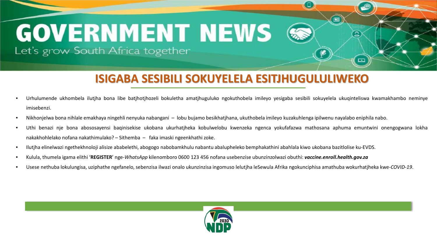#### **ISIGABA SESIBILI SOKUYELELA ESITJHUGULULIWEKO**

- Urhulumende ukhombela ilutjha bona libe batjhotjhozeli bokuletha amatjhuguluko ngokuthobela imileyo yesigaba sesibili sokuyelela ukuqinteliswa kwamakhambo neminye imisebenzi.
- Nikhonjelwa bona nihlale emakhaya ningehli nenyuka nabangani lobu bujamo besikhatjhana, ukuthobela imileyo kuzakuhlenga ipilwenu nayalabo eniphila nabo.
- Uthi benazi nje bona abososayensi baqinisekise ukobana ukurhatjheka kobulwelobu kwenzeka ngenca yokufafazwa mathosana aphuma emuntwini onengogwana lokha nakakhohlelako nofana nakathimulako? – Sithemba – faka imaski ngeenkhathi zoke.
- Ilutjha elinelwazi ngethekhnoloji alisize ababelethi, abogogo nabobamkhulu nabantu abalupheleko bemphakathini abahlala kiwo ukobana bazitlolise ku-EVDS.
- Kulula, thumela igama elithi '**REGISTER**' nge-*WhatsApp* kilenomboro 0600 123 456 nofana usebenzise ubunzinzolwazi obuthi: *vaccine.enroll.health.gov.za*
- Usese nethuba lokulungisa, uziphathe ngefanelo, sebenzisa ilwazi onalo ukunzinzisa ingomuso lelutjha leSewula Afrika ngokunciphisa amathuba wokurhatjheka kwe-*COVID-19*.

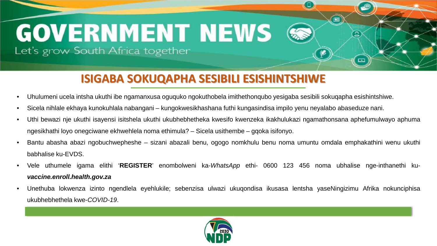#### **ISIGABA SOKUQAPHA SESIBILI ESISHINTSHIWE**

- Uhulumeni ucela intsha ukuthi ibe ngamanxusa oguquko ngokuthobela imithethonqubo yesigaba sesibili sokuqapha esishintshiwe.
- Sicela nihlale ekhaya kunokuhlala nabangani kungokwesikhashana futhi kungasindisa impilo yenu neyalabo abaseduze nani.
- Uthi bewazi nje ukuthi isayensi isitshela ukuthi ukubhebhetheka kwesifo kwenzeka ikakhulukazi ngamathonsana aphefumulwayo aphuma ngesikhathi loyo onegciwane ekhwehlela noma ethimula? – Sicela usithembe – gqoka isifonyo.

回

- Bantu abasha abazi ngobuchwepheshe sizani abazali benu, ogogo nomkhulu benu noma umuntu omdala emphakathini wenu ukuthi babhalise ku-EVDS.
- Vele uthumele igama elithi '**REGISTER**' enombolweni ka-*WhatsApp* ethi- 0600 123 456 noma ubhalise nge-inthanethi ku*vaccine.enroll.health.gov.za*
- Unethuba lokwenza izinto ngendlela eyehlukile; sebenzisa ulwazi ukuqondisa ikusasa lentsha yaseNingizimu Afrika nokunciphisa ukubhebhethela kwe-*COVID-19*.

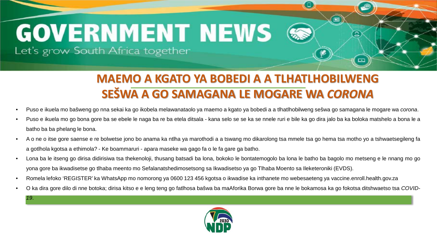# **Rapid Response Related media coverage: GOVERNMENT NEWS**

Let's grow South Africa together

*19*.

### **MAEMO A KGATO YA BOBEDI A A TLHATLHOBILWENG SEŠWA A GO SAMAGANA LE MOGARE WA** *CORONA*

- Puso e ikuela mo bašweng go nna sekai ka go ikobela melawanataolo ya maemo a kgato ya bobedi a a tlhatlhobilweng sešwa go samagana le mogare wa *corona*.
- Puso e ikuela mo go bona gore ba se ebele le naga ba re ba etela ditsala kana selo se se ka se nnele ruri e bile ka go dira jalo ba ka boloka matshelo a bona le a batho ba ba phelang le bona.
- A o ne o itse gore saense e re bolwetse jono bo anama ka ntlha ya marothodi a a tswang mo dikarolong tsa mmele tsa go hema tsa motho yo a tshwaetsegileng fa a gotlhola kgotsa a ethimola? - Ke boammaruri - apara maseke wa gago fa o le fa gare ga batho.
- Lona ba le itseng go dirisa didirisiwa tsa thekenoloji, thusang batsadi ba lona, bokoko le bontatemogolo ba lona le batho ba bagolo mo metseng e le nnang mo go yona gore ba ikwadisetse go tlhaba meento mo Sefalanatshedimosetsong sa Ikwadisetso ya go Tlhaba Moento sa Ileketeroniki (EVDS).
- Romela lefoko 'REGISTER' ka WhatsApp mo nomorong ya 0600 123 456 kgotsa o ikwadise ka inthanete mo webesaeteng ya vaccine.enroll.health.gov.za
- O ka dira gore dilo di nne botoka; dirisa kitso e e leng teng go fatlhosa bašwa ba maAforika Borwa gore ba nne le bokamosa ka go fokotsa ditshwaetso tsa *COVID-*

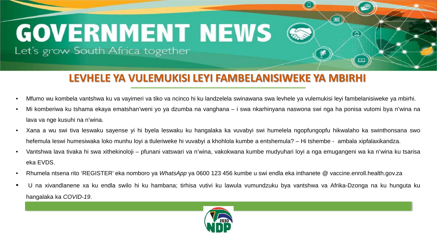#### **LEVHELE YA VULEMUKISI LEYI FAMBELANISIWEKE YA MBIRHI**

- Mfumo wu kombela vantshwa ku va vayimeri va tiko va ncinco hi ku landzelela swinawana swa levhele ya vulemukisi leyi fambelanisiweke ya mbirhi.
- Mi komberiwa ku tshama ekaya ematshan'weni yo ya dzumba na vanghana i swa nkarhinyana naswona swi nga ha ponisa vutomi bya n'wina na lava va nge kusuhi na n'wina.
- Xana a wu swi tiva leswaku sayense yi hi byela leswaku ku hangalaka ka vuvabyi swi humelela ngopfungopfu hikwalaho ka swinthonsana swo hefemula leswi humesiwaka loko munhu loyi a tluleriweke hi vuvabyi a khohlola kumbe a entshemula? – Hi tshembe - ambala xipfalaxikandza.
- Vantshwa lava tivaka hi swa xithekinoloji pfunani vatswari va n'wina, vakokwana kumbe mudyuhari loyi a nga emugangeni wa ka n'wina ku tsarisa eka EVDS.
- Rhumela ntsena rito 'REGISTER' eka nomboro ya *WhatsApp* ya 0600 123 456 kumbe u swi endla eka inthanete @ vaccine.enroll.health.gov.za
- U na xivandlanene xa ku endla swilo hi ku hambana; tirhisa vutivi ku lawula vumundzuku bya vantshwa va Afrika-Dzonga na ku hunguta ku hangalaka ka *COVID-19*.